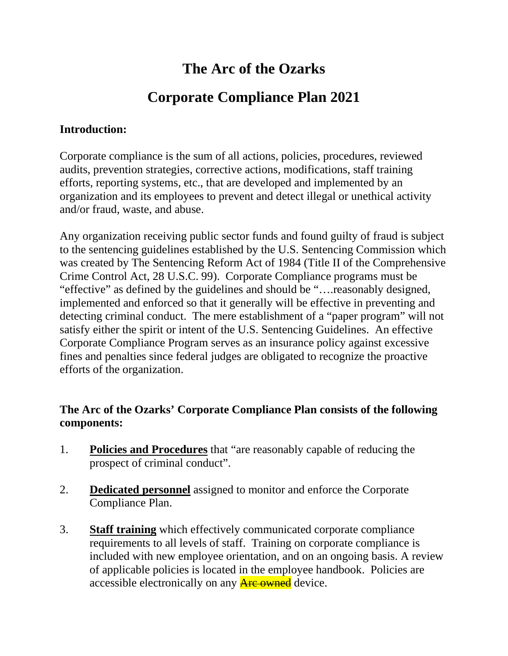## **The Arc of the Ozarks**

# **Corporate Compliance Plan 2021**

### **Introduction:**

Corporate compliance is the sum of all actions, policies, procedures, reviewed audits, prevention strategies, corrective actions, modifications, staff training efforts, reporting systems, etc., that are developed and implemented by an organization and its employees to prevent and detect illegal or unethical activity and/or fraud, waste, and abuse.

Any organization receiving public sector funds and found guilty of fraud is subject to the sentencing guidelines established by the U.S. Sentencing Commission which was created by The Sentencing Reform Act of 1984 (Title II of the Comprehensive Crime Control Act, 28 U.S.C. 99). Corporate Compliance programs must be "effective" as defined by the guidelines and should be "….reasonably designed, implemented and enforced so that it generally will be effective in preventing and detecting criminal conduct. The mere establishment of a "paper program" will not satisfy either the spirit or intent of the U.S. Sentencing Guidelines. An effective Corporate Compliance Program serves as an insurance policy against excessive fines and penalties since federal judges are obligated to recognize the proactive efforts of the organization.

## **The Arc of the Ozarks' Corporate Compliance Plan consists of the following components:**

- 1. **Policies and Procedures** that "are reasonably capable of reducing the prospect of criminal conduct".
- 2. **Dedicated personnel** assigned to monitor and enforce the Corporate Compliance Plan.
- 3. **Staff training** which effectively communicated corporate compliance requirements to all levels of staff. Training on corporate compliance is included with new employee orientation, and on an ongoing basis. A review of applicable policies is located in the employee handbook. Policies are accessible electronically on any **Are owned** device.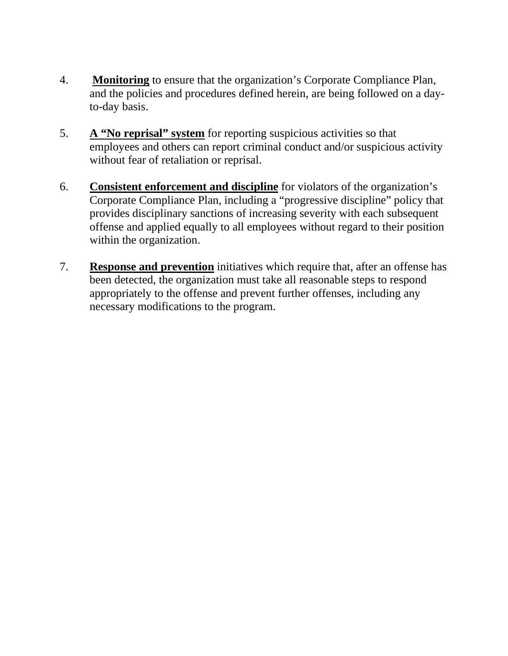- 4. **Monitoring** to ensure that the organization's Corporate Compliance Plan, and the policies and procedures defined herein, are being followed on a dayto-day basis.
- 5. **A "No reprisal" system** for reporting suspicious activities so that employees and others can report criminal conduct and/or suspicious activity without fear of retaliation or reprisal.
- 6. **Consistent enforcement and discipline** for violators of the organization's Corporate Compliance Plan, including a "progressive discipline" policy that provides disciplinary sanctions of increasing severity with each subsequent offense and applied equally to all employees without regard to their position within the organization.
- 7. **Response and prevention** initiatives which require that, after an offense has been detected, the organization must take all reasonable steps to respond appropriately to the offense and prevent further offenses, including any necessary modifications to the program.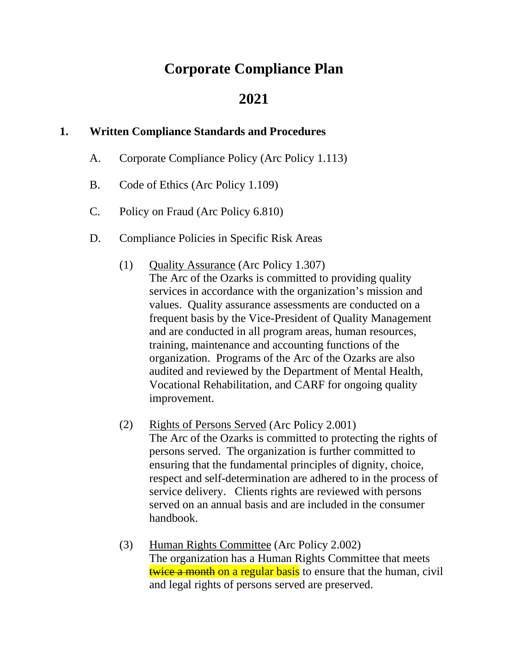## **Corporate Compliance Plan**

## **2021**

## **1. Written Compliance Standards and Procedures**

- A. Corporate Compliance Policy (Arc Policy 1.113)
- B. Code of Ethics (Arc Policy 1.109)
- C. Policy on Fraud (Arc Policy 6.810)
- D. Compliance Policies in Specific Risk Areas
	- (1) Quality Assurance (Arc Policy 1.307) The Arc of the Ozarks is committed to providing quality services in accordance with the organization's mission and values. Quality assurance assessments are conducted on a frequent basis by the Vice-President of Quality Management and are conducted in all program areas, human resources, training, maintenance and accounting functions of the organization. Programs of the Arc of the Ozarks are also audited and reviewed by the Department of Mental Health, Vocational Rehabilitation, and CARF for ongoing quality improvement.
	- (2) Rights of Persons Served (Arc Policy 2.001) The Arc of the Ozarks is committed to protecting the rights of persons served. The organization is further committed to ensuring that the fundamental principles of dignity, choice, respect and self-determination are adhered to in the process of service delivery. Clients rights are reviewed with persons served on an annual basis and are included in the consumer handbook.
	- (3) Human Rights Committee (Arc Policy 2.002) The organization has a Human Rights Committee that meets twice a month on a regular basis to ensure that the human, civil and legal rights of persons served are preserved.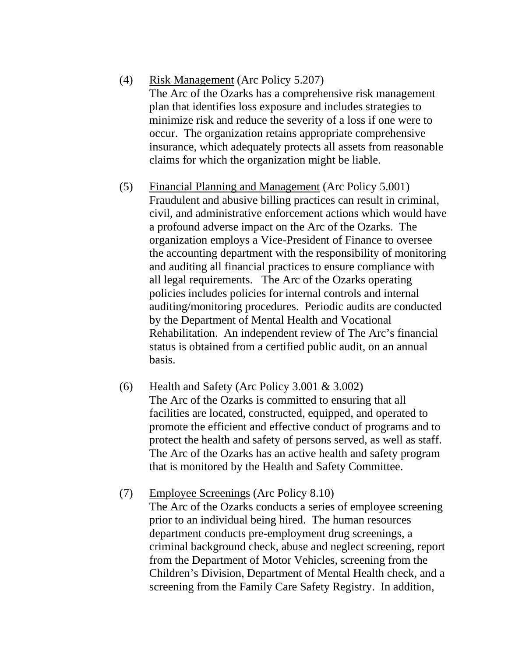(4) Risk Management (Arc Policy 5.207)

The Arc of the Ozarks has a comprehensive risk management plan that identifies loss exposure and includes strategies to minimize risk and reduce the severity of a loss if one were to occur. The organization retains appropriate comprehensive insurance, which adequately protects all assets from reasonable claims for which the organization might be liable.

- (5) Financial Planning and Management (Arc Policy 5.001) Fraudulent and abusive billing practices can result in criminal, civil, and administrative enforcement actions which would have a profound adverse impact on the Arc of the Ozarks. The organization employs a Vice-President of Finance to oversee the accounting department with the responsibility of monitoring and auditing all financial practices to ensure compliance with all legal requirements. The Arc of the Ozarks operating policies includes policies for internal controls and internal auditing/monitoring procedures. Periodic audits are conducted by the Department of Mental Health and Vocational Rehabilitation. An independent review of The Arc's financial status is obtained from a certified public audit, on an annual basis.
- (6) Health and Safety (Arc Policy 3.001 & 3.002) The Arc of the Ozarks is committed to ensuring that all facilities are located, constructed, equipped, and operated to promote the efficient and effective conduct of programs and to protect the health and safety of persons served, as well as staff. The Arc of the Ozarks has an active health and safety program that is monitored by the Health and Safety Committee.
- (7) Employee Screenings (Arc Policy 8.10) The Arc of the Ozarks conducts a series of employee screening prior to an individual being hired. The human resources department conducts pre-employment drug screenings, a criminal background check, abuse and neglect screening, report from the Department of Motor Vehicles, screening from the Children's Division, Department of Mental Health check, and a screening from the Family Care Safety Registry. In addition,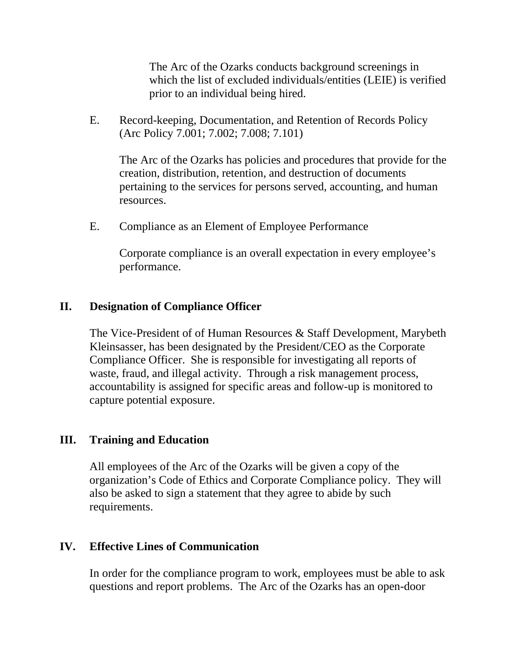The Arc of the Ozarks conducts background screenings in which the list of excluded individuals/entities (LEIE) is verified prior to an individual being hired.

E. Record-keeping, Documentation, and Retention of Records Policy (Arc Policy 7.001; 7.002; 7.008; 7.101)

The Arc of the Ozarks has policies and procedures that provide for the creation, distribution, retention, and destruction of documents pertaining to the services for persons served, accounting, and human resources.

E. Compliance as an Element of Employee Performance

Corporate compliance is an overall expectation in every employee's performance.

## **II. Designation of Compliance Officer**

The Vice-President of of Human Resources & Staff Development, Marybeth Kleinsasser, has been designated by the President/CEO as the Corporate Compliance Officer. She is responsible for investigating all reports of waste, fraud, and illegal activity. Through a risk management process, accountability is assigned for specific areas and follow-up is monitored to capture potential exposure.

## **III. Training and Education**

All employees of the Arc of the Ozarks will be given a copy of the organization's Code of Ethics and Corporate Compliance policy. They will also be asked to sign a statement that they agree to abide by such requirements.

## **IV. Effective Lines of Communication**

In order for the compliance program to work, employees must be able to ask questions and report problems. The Arc of the Ozarks has an open-door